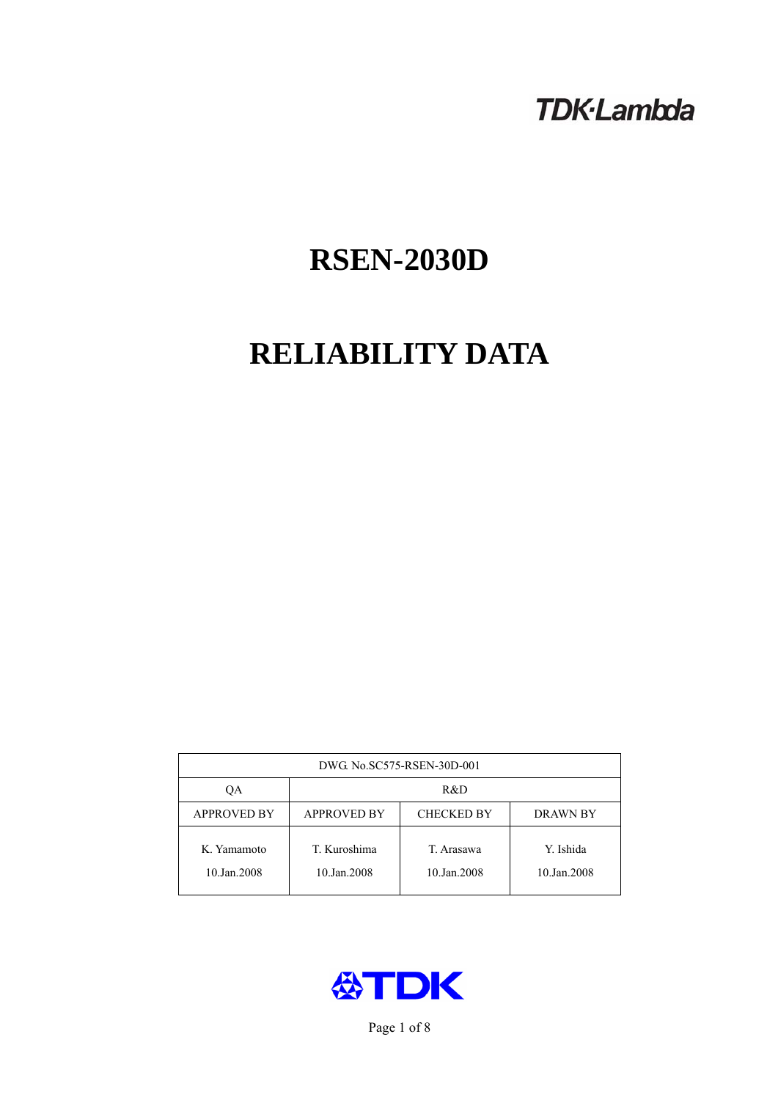# **TDK-Lambda**

# **RSEN-2030D**

# **RELIABILITY DATA**

| DWG. No.SC575-RSEN-30D-001 |                                                            |                           |                          |  |  |
|----------------------------|------------------------------------------------------------|---------------------------|--------------------------|--|--|
| ОA                         | R&D                                                        |                           |                          |  |  |
| <b>APPROVED BY</b>         | <b>APPROVED BY</b><br><b>CHECKED BY</b><br><b>DRAWN BY</b> |                           |                          |  |  |
| K. Yamamoto<br>10.Jan.2008 | T. Kuroshima<br>10.Jan.2008                                | T. Arasawa<br>10.Jan.2008 | Y. Ishida<br>10.Jan.2008 |  |  |



Page 1 of 8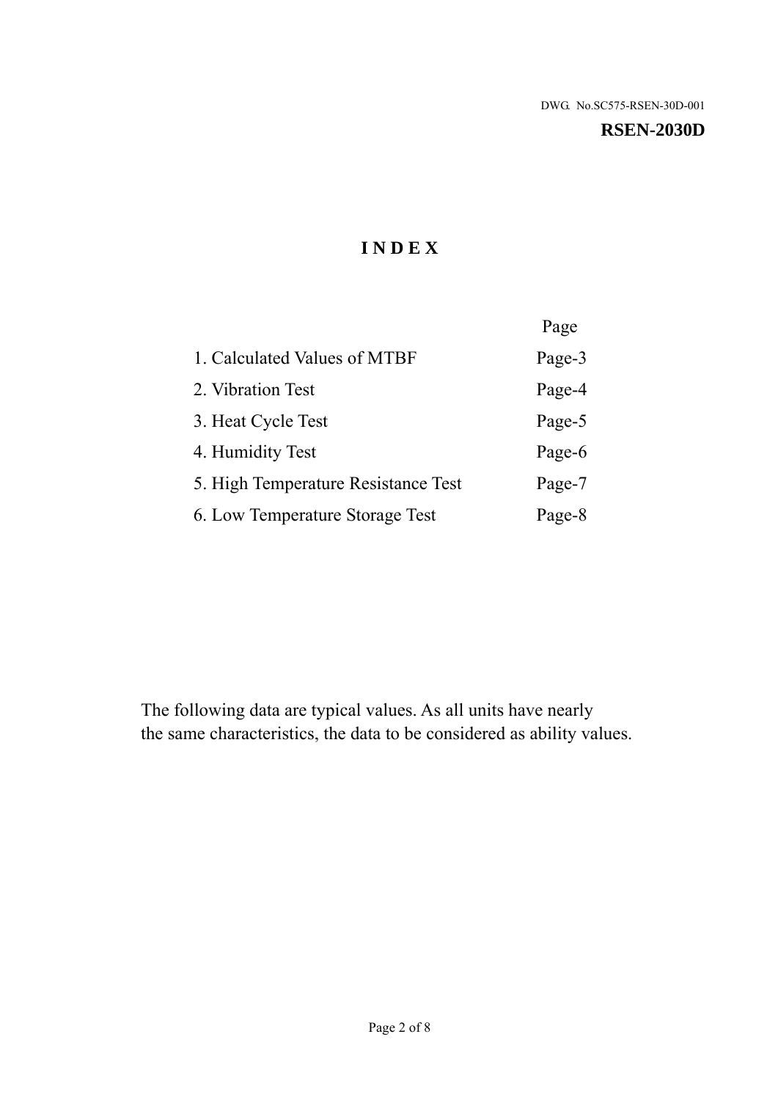#### **RSEN-2030D**

# **I N D E X**

|                                     | Page   |
|-------------------------------------|--------|
| 1. Calculated Values of MTBF        | Page-3 |
| 2. Vibration Test                   | Page-4 |
| 3. Heat Cycle Test                  | Page-5 |
| 4. Humidity Test                    | Page-6 |
| 5. High Temperature Resistance Test | Page-7 |
| 6. Low Temperature Storage Test     | Page-8 |

The following data are typical values. As all units have nearly the same characteristics, the data to be considered as ability values.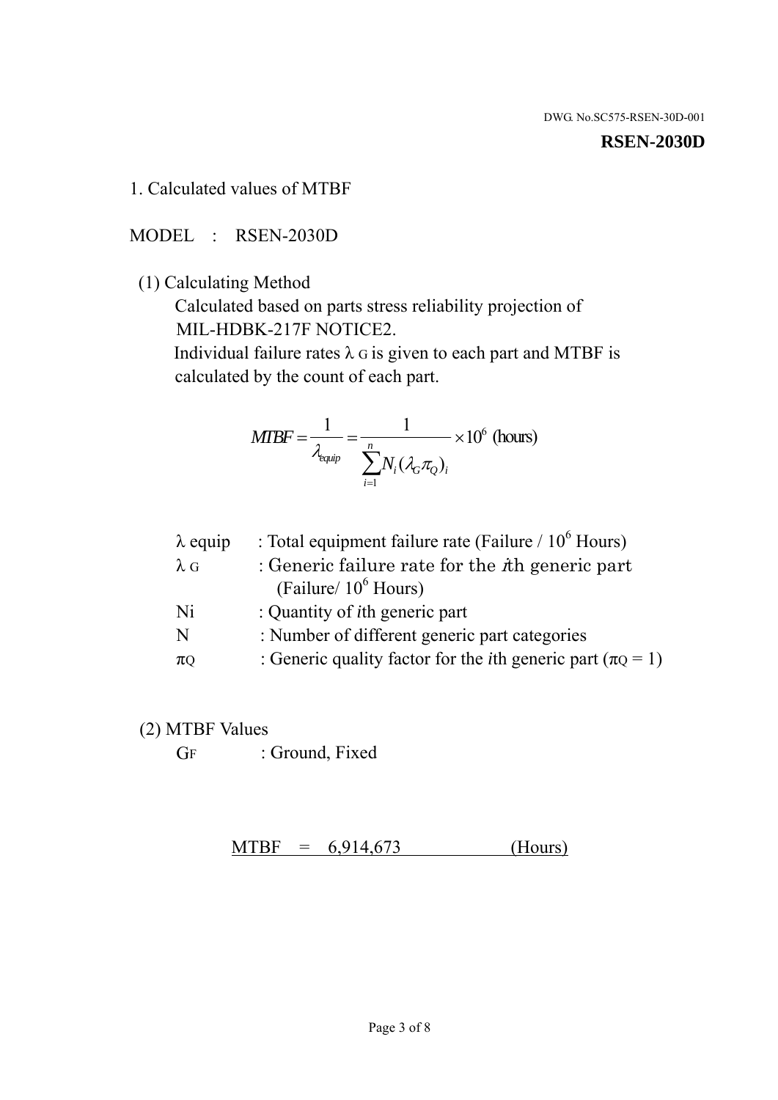#### **RSEN-2030D**

1. Calculated values of MTBF

MODEL : RSEN-2030D

(1) Calculating Method

 Calculated based on parts stress reliability projection of MIL-HDBK-217F NOTICE2.

Individual failure rates  $\lambda$  G is given to each part and MTBF is calculated by the count of each part.

$$
MTBF = \frac{1}{\lambda_{\text{equip}}} = \frac{1}{\sum_{i=1}^{n} N_i (\lambda_G \pi_Q)_i} \times 10^6 \text{ (hours)}
$$

| $\lambda$ equip | : Total equipment failure rate (Failure $/ 10^6$ Hours)                   |
|-----------------|---------------------------------------------------------------------------|
| $\lambda$ G     | : Generic failure rate for the $\hbar$ generic part                       |
|                 | (Failure/ $10^6$ Hours)                                                   |
| Ni              | : Quantity of <i>i</i> th generic part                                    |
| N               | : Number of different generic part categories                             |
| $\pi$ Q         | : Generic quality factor for the <i>i</i> th generic part ( $\pi Q = 1$ ) |

- (2) MTBF Values
	- GF : Ground, Fixed

 $MTBF = 6,914,673$  (Hours)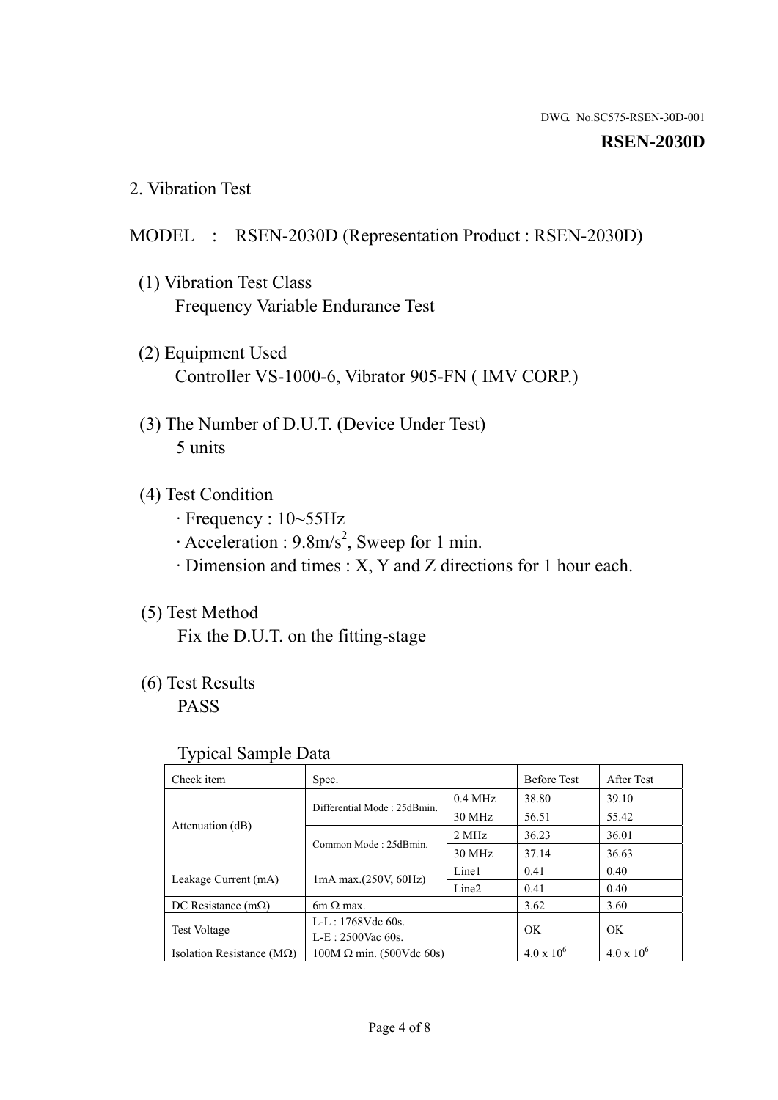#### **RSEN-2030D**

2. Vibration Test

## MODEL : RSEN-2030D (Representation Product : RSEN-2030D)

- (1) Vibration Test Class Frequency Variable Endurance Test
- (2) Equipment Used Controller VS-1000-6, Vibrator 905-FN ( IMV CORP.)
- (3) The Number of D.U.T. (Device Under Test) 5 units
- (4) Test Condition
	- · Frequency : 10~55Hz
	- $\cdot$  Acceleration : 9.8m/s<sup>2</sup>, Sweep for 1 min.
	- · Dimension and times : X, Y and Z directions for 1 hour each.

# (5) Test Method

Fix the D.U.T. on the fitting-stage

# (6) Test Results

PASS

#### Typical Sample Data

| ັ່                                 |                                 |                   |                     |                   |
|------------------------------------|---------------------------------|-------------------|---------------------|-------------------|
| Check item                         | Spec.                           |                   | <b>Before Test</b>  | After Test        |
| Attenuation (dB)                   | Differential Mode: 25dBmin.     | $0.4$ MHz         | 38.80               | 39.10             |
|                                    |                                 | 30 MHz            | 56.51               | 55.42             |
|                                    | Common Mode: 25dBmin.           | 2 MHz             | 36.23               | 36.01             |
|                                    |                                 | 30 MHz            | 37.14               | 36.63             |
| Leakage Current (mA)               | $1mA$ max. $(250V, 60Hz)$       | Line1             | 0.41                | 0.40              |
|                                    |                                 | Line <sub>2</sub> | 0.41                | 0.40              |
| DC Resistance $(m\Omega)$          | 6m $\Omega$ max.                |                   | 3.62                | 3.60              |
| <b>Test Voltage</b>                | $L-L: 1768Vdc$ 60s.             |                   | OK                  | OK.               |
|                                    | $L-E: 2500$ Vac 60s.            |                   |                     |                   |
| Isolation Resistance ( $M\Omega$ ) | $100M \Omega$ min. (500Vdc 60s) |                   | $4.0 \times 10^{6}$ | $4.0 \times 10^6$ |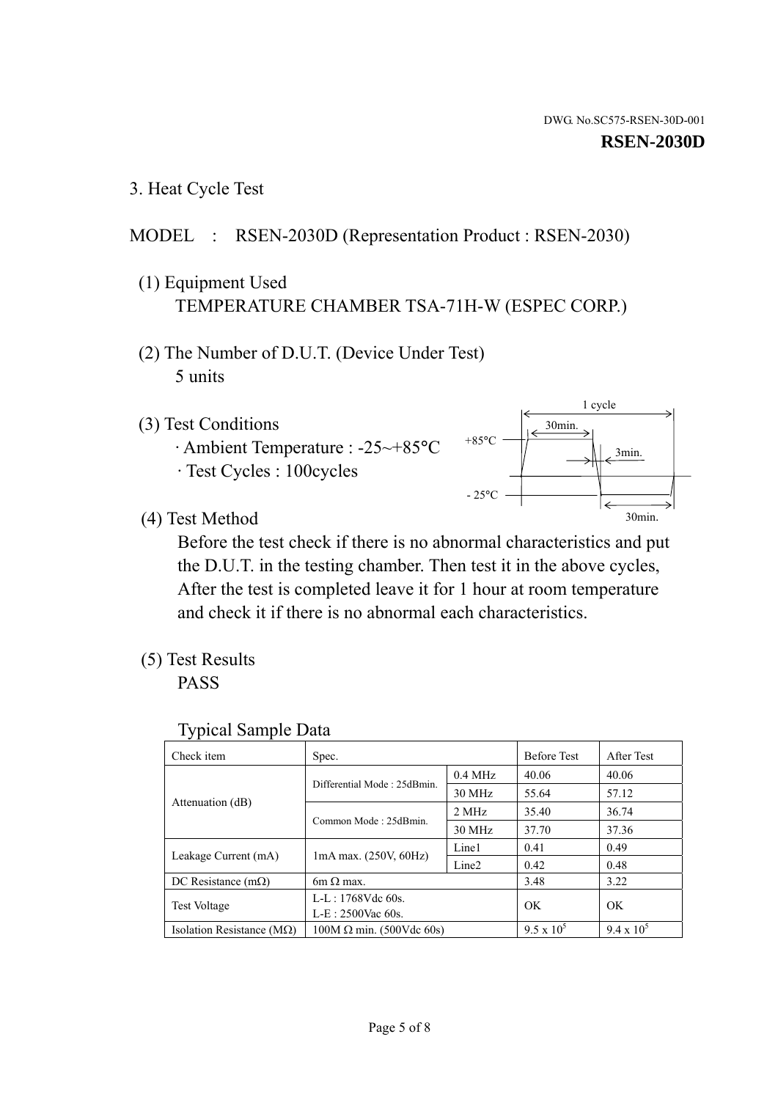3. Heat Cycle Test

# MODEL : RSEN-2030D (Representation Product : RSEN-2030)

- (1) Equipment Used TEMPERATURE CHAMBER TSA-71H-W (ESPEC CORP.)
- (2) The Number of D.U.T. (Device Under Test) 5 units
- (3) Test Conditions
	- · Ambient Temperature : -25~+85°C · Test Cycles : 100cycles
- 1 cycle +85°C  $-25^{\circ}$ C 30min. 30min. 3min.

(4) Test Method

 Before the test check if there is no abnormal characteristics and put the D.U.T. in the testing chamber. Then test it in the above cycles, After the test is completed leave it for 1 hour at room temperature and check it if there is no abnormal each characteristics.

(5) Test Results

PASS

| Check item                    | Spec.                           |                   | <b>Before Test</b> | After Test        |
|-------------------------------|---------------------------------|-------------------|--------------------|-------------------|
| Attenuation (dB)              | Differential Mode: 25dBmin.     | $0.4$ MHz         | 40.06              | 40.06             |
|                               |                                 | 30 MHz            | 55.64              | 57.12             |
|                               | Common Mode: 25dBmin.           | 2 MHz             | 35.40              | 36.74             |
|                               |                                 | 30 MHz            | 37.70              | 37.36             |
| Leakage Current (mA)          | $1mA$ max. $(250V, 60Hz)$       | Line1             | 0.41               | 0.49              |
|                               |                                 | Line <sub>2</sub> | 0.42               | 0.48              |
| DC Resistance $(m\Omega)$     | $6m \Omega$ max.                |                   | 3.48               | 3.22              |
| <b>Test Voltage</b>           | L-L: $1768V$ de $60s$ .         |                   | OK                 | OK                |
|                               | $L-E: 2500$ Vac 60s.            |                   |                    |                   |
| Isolation Resistance ( $MQ$ ) | $100M \Omega$ min. (500Vdc 60s) |                   | $9.5 \times 10^5$  | $9.4 \times 10^5$ |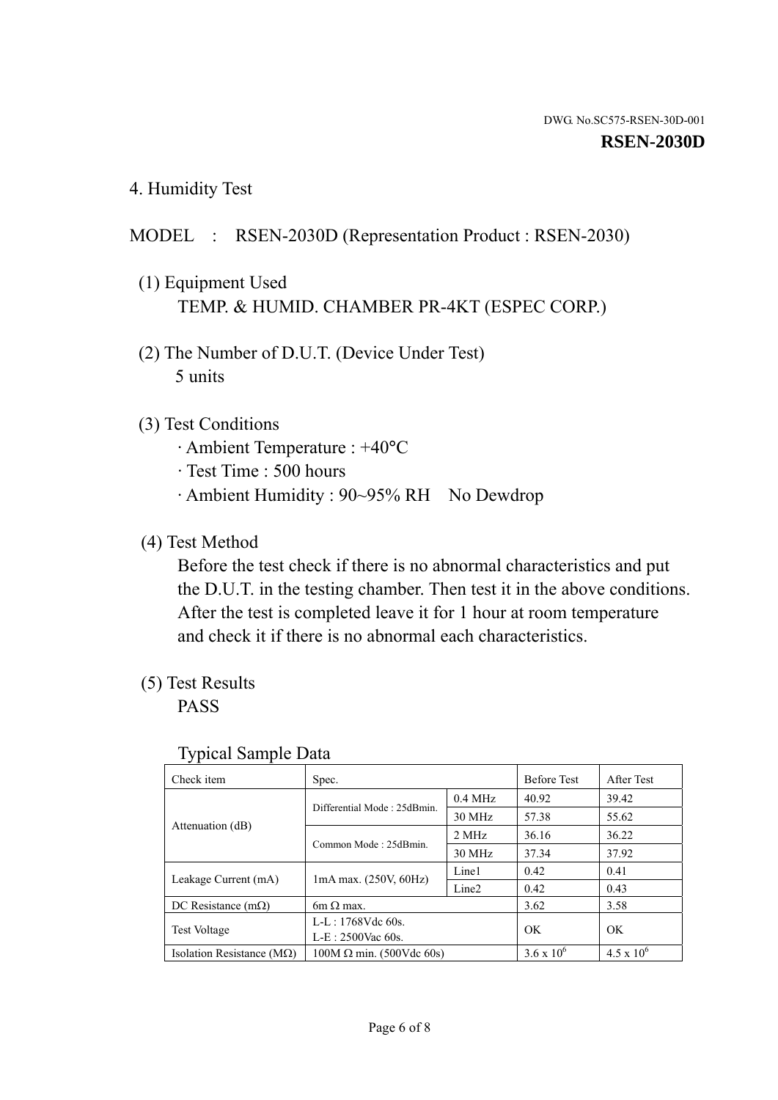4. Humidity Test

## MODEL : RSEN-2030D (Representation Product : RSEN-2030)

- (1) Equipment Used TEMP. & HUMID. CHAMBER PR-4KT (ESPEC CORP.)
- (2) The Number of D.U.T. (Device Under Test) 5 units

#### (3) Test Conditions

- · Ambient Temperature : +40°C
- · Test Time : 500 hours
- · Ambient Humidity : 90~95% RH No Dewdrop

## (4) Test Method

 Before the test check if there is no abnormal characteristics and put the D.U.T. in the testing chamber. Then test it in the above conditions. After the test is completed leave it for 1 hour at room temperature and check it if there is no abnormal each characteristics.

## (5) Test Results

PASS

| . .                                |                                 |                   |                     |                     |
|------------------------------------|---------------------------------|-------------------|---------------------|---------------------|
| Check item                         | Spec.                           |                   | <b>Before Test</b>  | After Test          |
| Attenuation (dB)                   | Differential Mode: 25dBmin.     | $0.4$ MHz         | 40.92               | 39.42               |
|                                    |                                 | 30 MHz            | 57.38               | 55.62               |
|                                    | Common Mode: 25dBmin.           | 2 MHz             | 36.16               | 36.22               |
|                                    |                                 | 30 MHz            | 37.34               | 37.92               |
| Leakage Current (mA)               | $1mA$ max. $(250V, 60Hz)$       | Line1             | 0.42                | 0.41                |
|                                    |                                 | Line <sub>2</sub> | 0.42                | 0.43                |
| DC Resistance $(m\Omega)$          | 6m $\Omega$ max.                |                   | 3.62                | 3.58                |
| <b>Test Voltage</b>                | $L-L: 1768Vdc$ 60s.             |                   | OK                  | OK                  |
|                                    | $L-E: 2500$ Vac 60s.            |                   |                     |                     |
| Isolation Resistance ( $M\Omega$ ) | $100M \Omega$ min. (500Vdc 60s) |                   | $3.6 \times 10^{6}$ | $4.5 \times 10^{6}$ |

#### Typical Sample Data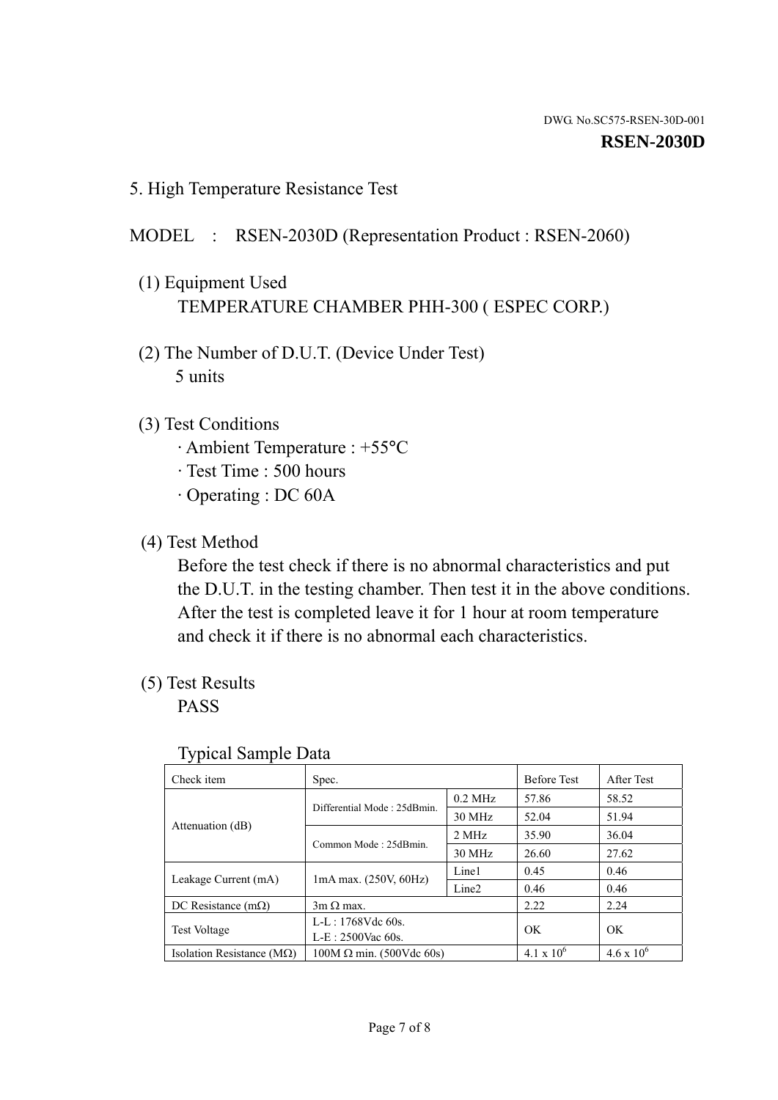5. High Temperature Resistance Test

## MODEL : RSEN-2030D (Representation Product : RSEN-2060)

- (1) Equipment Used TEMPERATURE CHAMBER PHH-300 ( ESPEC CORP.)
- (2) The Number of D.U.T. (Device Under Test) 5 units
- (3) Test Conditions
	- · Ambient Temperature : +55°C
	- · Test Time : 500 hours
	- · Operating : DC 60A
- (4) Test Method

 Before the test check if there is no abnormal characteristics and put the D.U.T. in the testing chamber. Then test it in the above conditions. After the test is completed leave it for 1 hour at room temperature and check it if there is no abnormal each characteristics.

(5) Test Results

PASS

| J 1                                |                                 |                   |                     |                     |
|------------------------------------|---------------------------------|-------------------|---------------------|---------------------|
| Check item                         | Spec.                           |                   | <b>Before Test</b>  | After Test          |
| Attenuation (dB)                   | Differential Mode: 25dBmin.     | $0.2$ MHz         | 57.86               | 58.52               |
|                                    |                                 | 30 MHz            | 52.04               | 51.94               |
|                                    | Common Mode: 25dBmin.           | 2 MHz             | 35.90               | 36.04               |
|                                    |                                 | 30 MHz            | 26.60               | 27.62               |
| Leakage Current (mA)               | $1mA$ max. $(250V, 60Hz)$       | Line1             | 0.45                | 0.46                |
|                                    |                                 | Line <sub>2</sub> | 0.46                | 0.46                |
| DC Resistance $(m\Omega)$          | $3m \Omega$ max.                |                   | 2.22                | 2.24                |
| <b>Test Voltage</b>                | $L-L: 1768Vdc$ 60s.             |                   | OK                  |                     |
|                                    | $L-E: 2500$ Vac 60s.            |                   |                     | OK                  |
| Isolation Resistance ( $M\Omega$ ) | $100M \Omega$ min. (500Vdc 60s) |                   | $4.1 \times 10^{6}$ | $4.6 \times 10^{6}$ |

#### Typical Sample Data